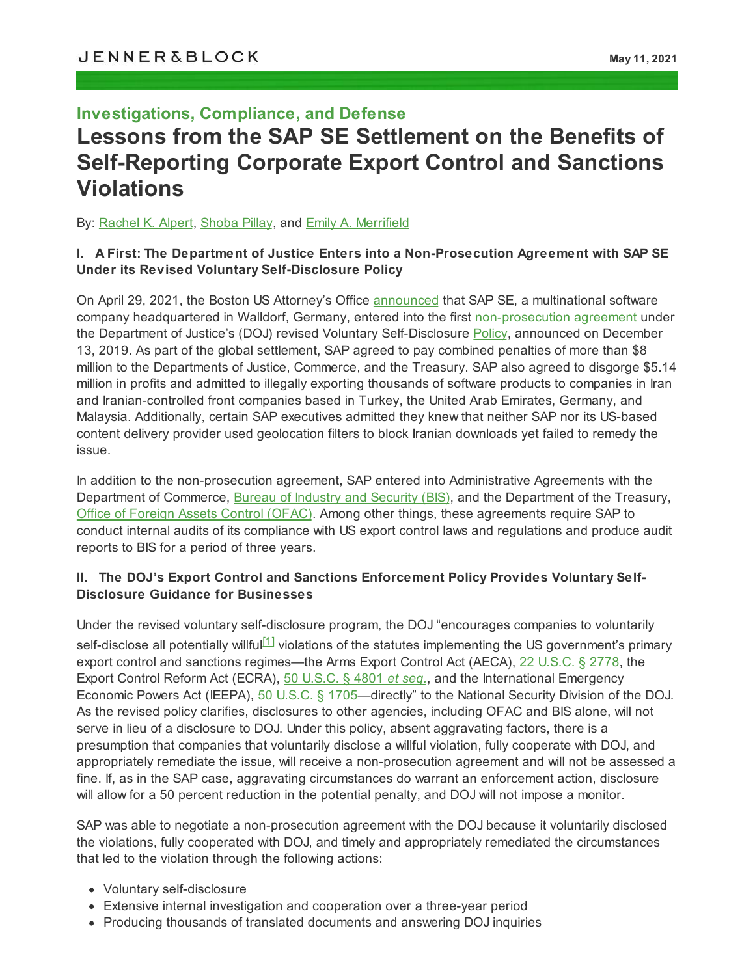# **Investigations, Compliance, and Defense Lessons from the SAP SE Settlement on the Benefits of Self-Reporting Corporate Export Control and Sanctions Violations**

By: [Rachel](https://jenner.com/people/RachelAlpert) K. Alpert, [Shoba](https://jenner.com/people/shobapillay) Pillay, and Emily A. [Merrifield](https://jenner.com/people/emilymerrifield)

#### **I. A First: The Department of Justice Enters into a Non-Prosecution Agreement with SAP SE Under its Revised Voluntary Self-Disclosure Policy**

On April 29, 2021, the Boston US Attorney's Office [announced](https://www.justice.gov/usao-ma/pr/sap-admits-thousands-illegal-exports-its-software-products-iran-and-enters-non) that SAP SE, a multinational software company headquartered in Walldorf, Germany, entered into the first [non-prosecution](https://www.justice.gov/opa/press-release/file/1390531/download) agreement under the Department of Justice's (DOJ) revised Voluntary Self-Disclosure [Policy,](https://www.justice.gov/nsd/ces_vsd_policy_2019/download) announced on December 13, 2019. As part of the global settlement, SAP agreed to pay combined penalties of more than \$8 million to the Departments of Justice, Commerce, and the Treasury. SAP also agreed to disgorge \$5.14 million in profits and admitted to illegally exporting thousands of software products to companies in Iran and Iranian-controlled front companies based in Turkey, the United Arab Emirates, Germany, and Malaysia. Additionally, certain SAP executives admitted they knew that neither SAP nor its US-based content delivery provider used geolocation filters to block Iranian downloads yet failed to remedy the issue.

In addition to the non-prosecution agreement, SAP entered into Administrative Agreements with the Department of Commerce, Bureau of Industry and [Security](https://www.bis.doc.gov/index.php/documents/about-bis/newsroom/press-releases/2751-sap-press-release-clean/file) (BIS), and the Department of the Treasury, Office of Foreign Assets Control [\(OFAC\).](https://home.treasury.gov/system/files/126/20210429_sap.pdf) Among other things, these agreements require SAP to conduct internal audits of its compliance with US export control laws and regulations and produce audit reports to BIS for a period of three years.

### **II. The DOJ's Export Control and Sanctions Enforcement Policy Provides Voluntary Self-Disclosure Guidance for Businesses**

<span id="page-0-0"></span>Under the revised voluntary self-disclosure program, the DOJ "encourages companies to voluntarily self-disclose all potentially willful $^{[1]}$  $^{[1]}$  $^{[1]}$  violations of the statutes implementing the US government's primary export control and sanctions regimes—the Arms Export Control Act (AECA), 22 [U.S.C.](https://uscode.house.gov/view.xhtml?path=%2Fprelim%40title22%2Fchapter39&edition=prelim) § 2778, the Export Control Reform Act (ECRA), 50 [U.S.C.](https://uscode.house.gov/view.xhtml?path=%2Fprelim%40title50%2Fchapter58&edition=prelim) § 4801 *et seq.*, and the International Emergency Economic Powers Act (IEEPA), 50 [U.S.C.](https://home.treasury.gov/system/files/126/ieepa.pdf) § 1705—directly" to the National Security Division of the DOJ. As the revised policy clarifies, disclosures to other agencies, including OFAC and BIS alone, will not serve in lieu of a disclosure to DOJ. Under this policy, absent aggravating factors, there is a presumption that companies that voluntarily disclose a willful violation, fully cooperate with DOJ, and appropriately remediate the issue, will receive a non-prosecution agreement and will not be assessed a fine. If, as in the SAP case, aggravating circumstances do warrant an enforcement action, disclosure will allow for a 50 percent reduction in the potential penalty, and DOJ will not impose a monitor.

SAP was able to negotiate a non-prosecution agreement with the DOJ because it voluntarily disclosed the violations, fully cooperated with DOJ, and timely and appropriately remediated the circumstances that led to the violation through the following actions:

- Voluntary self-disclosure
- Extensive internal investigation and cooperation over a three-year period
- Producing thousands of translated documents and answering DOJ inquiries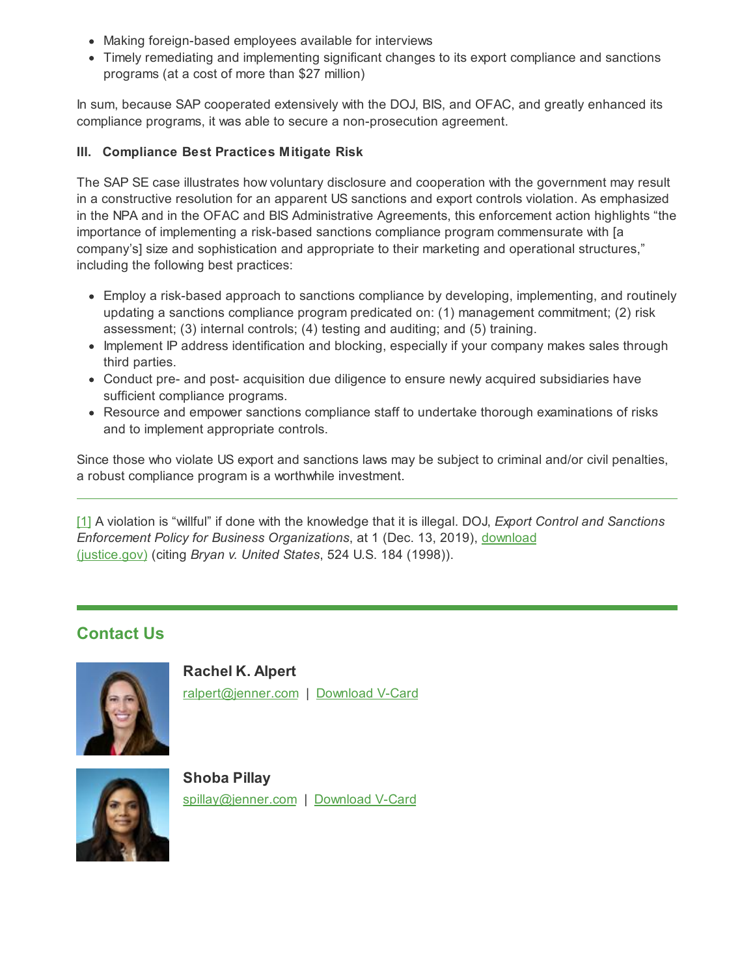- Making foreign-based employees available for interviews
- Timely remediating and implementing significant changes to its export compliance and sanctions programs (at a cost of more than \$27 million)

In sum, because SAP cooperated extensively with the DOJ, BIS, and OFAC, and greatly enhanced its compliance programs, it was able to secure a non-prosecution agreement.

### **III. Compliance Best Practices Mitigate Risk**

The SAP SE case illustrates how voluntary disclosure and cooperation with the government may result in a constructive resolution for an apparent US sanctions and export controls violation. As emphasized in the NPA and in the OFAC and BIS Administrative Agreements, this enforcement action highlights "the importance of implementing a risk-based sanctions compliance program commensurate with [a company's] size and sophistication and appropriate to their marketing and operational structures," including the following best practices:

- Employ a risk-based approach to sanctions compliance by developing, implementing, and routinely updating a sanctions compliance program predicated on: (1) management commitment; (2) risk assessment; (3) internal controls; (4) testing and auditing; and (5) training.
- Implement IP address identification and blocking, especially if your company makes sales through third parties.
- Conduct pre- and post- acquisition due diligence to ensure newly acquired subsidiaries have sufficient compliance programs.
- Resource and empower sanctions compliance staff to undertake thorough examinations of risks and to implement appropriate controls.

Since those who violate US export and sanctions laws may be subject to criminal and/or civil penalties, a robust compliance program is a worthwhile investment.

<span id="page-1-0"></span>[\[1\]](#page-0-0) A violation is "willful" if done with the knowledge that it is illegal. DOJ, *Export Control and Sanctions Enforcement Policy for Business [Organizations](https://www.justice.gov/nsd/ces_vsd_policy_2019/download)*, at 1 (Dec. 13, 2019), download (justice.gov) (citing *Bryan v. United States*, 524 U.S. 184 (1998)).

## **Contact Us**



**Rachel K. Alpert** [ralpert@jenner.com](mailto:ralpert@jenner.com) | [Download](https://jenner.com/people/1239/vcard) V-Card



**Shoba Pillay** [spillay@jenner.com](mailto:spillay@jenner.com) | [Download](https://jenner.com/people/1251/vcard) V-Card